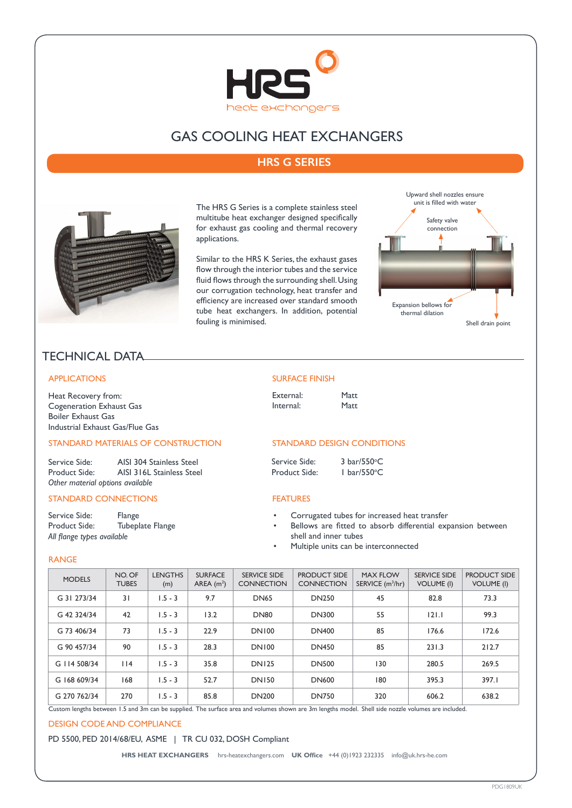

# GAS COOLING HEAT EXCHANGERS

## **HRS G SERIES**



The HRS G Series is a complete stainless steel multitube heat exchanger designed specifically for exhaust gas cooling and thermal recovery applications.

Similar to the HRS K Series, the exhaust gases flow through the interior tubes and the service fluid flows through the surrounding shell. Using our corrugation technology, heat transfer and efficiency are increased over standard smooth tube heat exchangers. In addition, potential fouling is minimised.



# TECHNICAL DATA

#### APPLICATIONS

Heat Recovery from: Cogeneration Exhaust Gas Boiler Exhaust Gas Industrial Exhaust Gas/Flue Gas

## STANDARD MATERIALS OF CONSTRUCTION

Service Side: AISI 304 Stainless Steel<br>Product Side: AISI 316L Stainless Stee AISI 316L Stainless Steel *Other material options available*

### STANDARD CONNECTIONS

Service Side: Flange Product Side: Tubeplate Flange *All flange types available*

#### SURFACE FINISH

External: Matt<br>Internal: Matt Internal:

### STANDARD DESIGN CONDITIONS

| Service Side: | 3 bar/550°C           |
|---------------|-----------------------|
| Product Side: | $I bar/550^{\circ}$ C |

### FEATURES

- Corrugated tubes for increased heat transfer
- Bellows are fitted to absorb differential expansion between shell and inner tubes
- Multiple units can be interconnected

#### RANGE

| <b>MODELS</b> | NO. OF<br><b>TUBES</b> | <b>LENGTHS</b><br>(m) | <b>SURFACE</b><br>AREA $(m2)$ | <b>SERVICE SIDE</b><br><b>CONNECTION</b> | <b>PRODUCT SIDE</b><br><b>CONNECTION</b> | <b>MAX FLOW</b><br>SERVICE (m <sup>3</sup> /hr) | <b>SERVICE SIDE</b><br><b>VOLUME (I)</b> | <b>PRODUCT SIDE</b><br><b>VOLUME (I)</b> |
|---------------|------------------------|-----------------------|-------------------------------|------------------------------------------|------------------------------------------|-------------------------------------------------|------------------------------------------|------------------------------------------|
| G 31 273/34   | 31                     | $1.5 - 3$             | 9.7                           | <b>DN65</b>                              | <b>DN250</b>                             | 45                                              | 82.8                                     | 73.3                                     |
| G 42 324/34   | 42                     | $1.5 - 3$             | 13.2                          | <b>DN80</b>                              | <b>DN300</b>                             | 55                                              | 121.1                                    | 99.3                                     |
| G 73 406/34   | 73                     | $1.5 - 3$             | 22.9                          | <b>DN100</b>                             | <b>DN400</b>                             | 85                                              | 176.6                                    | 172.6                                    |
| G 90 457/34   | 90                     | $1.5 - 3$             | 28.3                          | <b>DN100</b>                             | <b>DN450</b>                             | 85                                              | 231.3                                    | 212.7                                    |
| G 114 508/34  | $ $  4                 | $1.5 - 3$             | 35.8                          | <b>DN125</b>                             | <b>DN500</b>                             | 130                                             | 280.5                                    | 269.5                                    |
| G 168 609/34  | 168                    | $1.5 - 3$             | 52.7                          | <b>DN150</b>                             | <b>DN600</b>                             | 180                                             | 395.3                                    | 397.I                                    |
| G 270 762/34  | 270                    | $1.5 - 3$             | 85.8                          | <b>DN200</b>                             | <b>DN750</b>                             | 320                                             | 606.2                                    | 638.2                                    |

Custom lengths between 1.5 and 3m can be supplied. The surface area and volumes shown are 3m lengths model. Shell side nozzle volumes are included.

#### DESIGN CODE AND COMPLIANCE

### PD 5500, PED 2014/68/EU, ASME | TR CU 032, DOSH Compliant

**HRS HEAT EXCHANGERS** hrs-heatexchangers.com **UK Office** +44 (0)1923 232335 info@uk.hrs-he.com